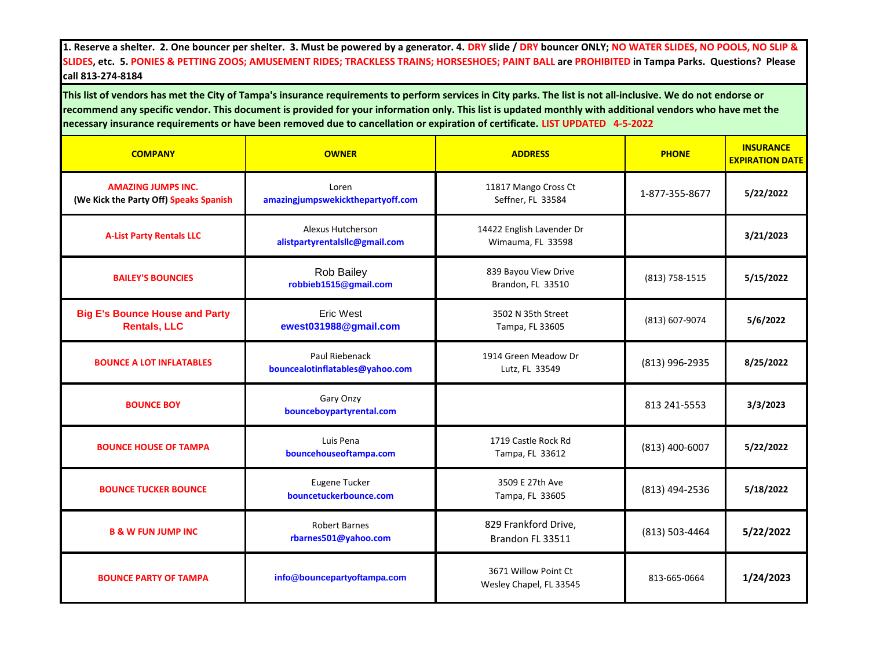**1. Reserve a shelter. 2. One bouncer per shelter. 3. Must be powered by a generator. 4. DRY slide / DRY bouncer ONLY; NO WATER SLIDES, NO POOLS, NO SLIP & SLIDES, etc. 5. PONIES & PETTING ZOOS; AMUSEMENT RIDES; TRACKLESS TRAINS; HORSESHOES; PAINT BALL are PROHIBITED in Tampa Parks. Questions? Please call 813-274-8184**

**This list of vendors has met the City of Tampa's insurance requirements to perform services in City parks. The list is not all-inclusive. We do not endorse or recommend any specific vendor. This document is provided for your information only. This list is updated monthly with additional vendors who have met the necessary insurance requirements or have been removed due to cancellation or expiration of certificate. LIST UPDATED 4-5-2022** 

| <b>COMPANY</b>                                                      | <b>OWNER</b>                                        | <b>ADDRESS</b>                                  | <b>PHONE</b>   | <b>INSURANCE</b><br><b>EXPIRATION DATE</b> |
|---------------------------------------------------------------------|-----------------------------------------------------|-------------------------------------------------|----------------|--------------------------------------------|
| <b>AMAZING JUMPS INC.</b><br>(We Kick the Party Off) Speaks Spanish | Loren<br>amazingjumpswekickthepartyoff.com          | 11817 Mango Cross Ct<br>Seffner, FL 33584       | 1-877-355-8677 | 5/22/2022                                  |
| <b>A-List Party Rentals LLC</b>                                     | Alexus Hutcherson<br>alistpartyrentalsllc@gmail.com | 14422 English Lavender Dr<br>Wimauma, FL 33598  |                | 3/21/2023                                  |
| <b>BAILEY'S BOUNCIES</b>                                            | Rob Bailey<br>robbieb1515@gmail.com                 | 839 Bayou View Drive<br>Brandon, FL 33510       | (813) 758-1515 | 5/15/2022                                  |
| <b>Big E's Bounce House and Party</b><br><b>Rentals, LLC</b>        | <b>Eric West</b><br>ewest031988@gmail.com           | 3502 N 35th Street<br>Tampa, FL 33605           | (813) 607-9074 | 5/6/2022                                   |
| <b>BOUNCE A LOT INFLATABLES</b>                                     | Paul Riebenack<br>bouncealotinflatables@yahoo.com   | 1914 Green Meadow Dr<br>Lutz, FL 33549          | (813) 996-2935 | 8/25/2022                                  |
| <b>BOUNCE BOY</b>                                                   | Gary Onzy<br>bounceboypartyrental.com               |                                                 | 813 241-5553   | 3/3/2023                                   |
| <b>BOUNCE HOUSE OF TAMPA</b>                                        | Luis Pena<br>bouncehouseoftampa.com                 | 1719 Castle Rock Rd<br>Tampa, FL 33612          | (813) 400-6007 | 5/22/2022                                  |
| <b>BOUNCE TUCKER BOUNCE</b>                                         | Eugene Tucker<br>bouncetuckerbounce.com             | 3509 E 27th Ave<br>Tampa, FL 33605              | (813) 494-2536 | 5/18/2022                                  |
| <b>B &amp; W FUN JUMP INC</b>                                       | <b>Robert Barnes</b><br>rbarnes501@yahoo.com        | 829 Frankford Drive,<br>Brandon FL 33511        | (813) 503-4464 | 5/22/2022                                  |
| <b>BOUNCE PARTY OF TAMPA</b>                                        | info@bouncepartyoftampa.com                         | 3671 Willow Point Ct<br>Wesley Chapel, FL 33545 | 813-665-0664   | 1/24/2023                                  |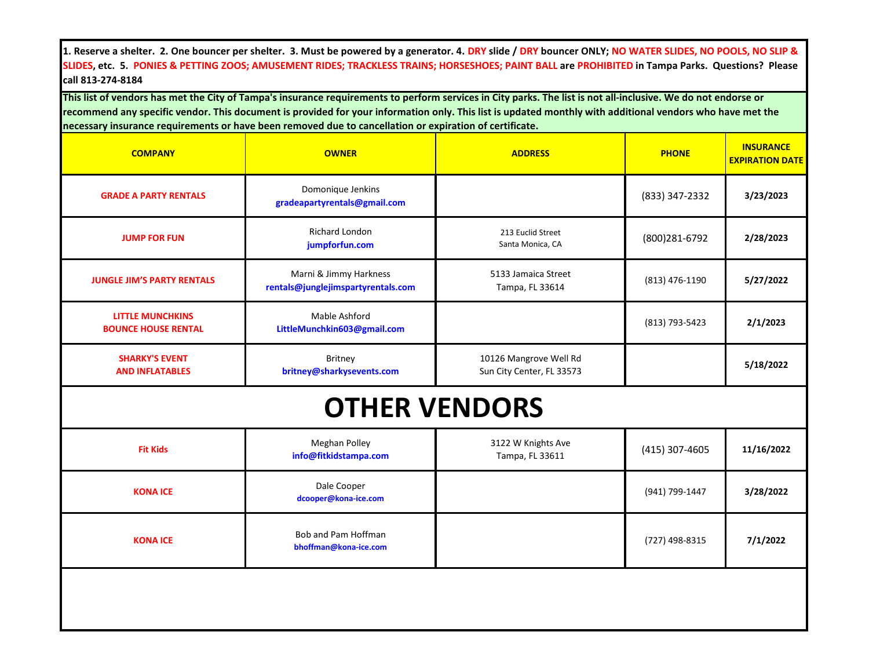**1. Reserve a shelter. 2. One bouncer per shelter. 3. Must be powered by a generator. 4. DRY slide / DRY bouncer ONLY; NO WATER SLIDES, NO POOLS, NO SLIP & SLIDES, etc. 5. PONIES & PETTING ZOOS; AMUSEMENT RIDES; TRACKLESS TRAINS; HORSESHOES; PAINT BALL are PROHIBITED in Tampa Parks. Questions? Please call 813-274-8184**

**This list of vendors has met the City of Tampa's insurance requirements to perform services in City parks. The list is not all-inclusive. We do not endorse or recommend any specific vendor. This document is provided for your information only. This list is updated monthly with additional vendors who have met the necessary insurance requirements or have been removed due to cancellation or expiration of certificate.** 

| <b>COMPANY</b>                                        | <b>OWNER</b>                                                 | <b>ADDRESS</b>                                      | <b>PHONE</b>   | <b>INSURANCE</b><br><b>EXPIRATION DATE</b> |
|-------------------------------------------------------|--------------------------------------------------------------|-----------------------------------------------------|----------------|--------------------------------------------|
| <b>GRADE A PARTY RENTALS</b>                          | Domonique Jenkins<br>gradeapartyrentals@gmail.com            |                                                     | (833) 347-2332 | 3/23/2023                                  |
| <b>JUMP FOR FUN</b>                                   | Richard London<br>jumpforfun.com                             | 213 Euclid Street<br>Santa Monica, CA               | (800) 281-6792 | 2/28/2023                                  |
| <b>JUNGLE JIM'S PARTY RENTALS</b>                     | Marni & Jimmy Harkness<br>rentals@junglejimspartyrentals.com | 5133 Jamaica Street<br>Tampa, FL 33614              | (813) 476-1190 | 5/27/2022                                  |
| <b>LITTLE MUNCHKINS</b><br><b>BOUNCE HOUSE RENTAL</b> | Mable Ashford<br>LittleMunchkin603@gmail.com                 |                                                     | (813) 793-5423 | 2/1/2023                                   |
| <b>SHARKY'S EVENT</b><br><b>AND INFLATABLES</b>       | Britney<br>britney@sharkysevents.com                         | 10126 Mangrove Well Rd<br>Sun City Center, FL 33573 |                | 5/18/2022                                  |
|                                                       |                                                              | <b>OTHER VENDORS</b>                                |                |                                            |
| <b>Fit Kids</b>                                       | Meghan Polley<br>info@fitkidstampa.com                       | 3122 W Knights Ave<br>Tampa, FL 33611               | (415) 307-4605 | 11/16/2022                                 |
| <b>KONA ICE</b>                                       | Dale Cooper<br>dcooper@kona-ice.com                          |                                                     | (941) 799-1447 | 3/28/2022                                  |
| <b>KONA ICE</b>                                       | Bob and Pam Hoffman<br>bhoffman@kona-ice.com                 |                                                     | (727) 498-8315 | 7/1/2022                                   |
|                                                       |                                                              |                                                     |                |                                            |
|                                                       |                                                              |                                                     |                |                                            |